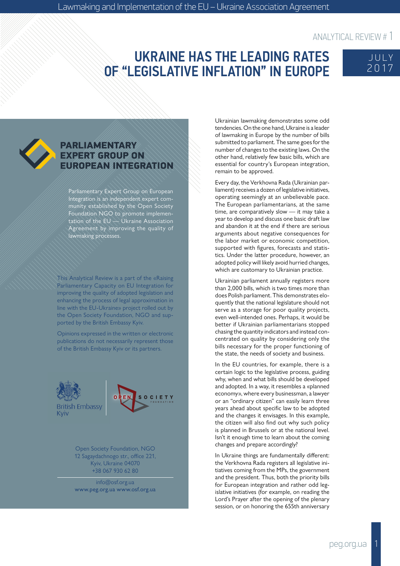# UKRAINE HAS THE LEADING RATES OF "LEGISLATIVE INFLATION" IN EUROPE





#### PARLIAMENTARY **EXPERT GROUP ON ROPEAN INTEGRATION**

Parliamentary Expert Group on European Integration is an independent expert community established by the Open Society Foundation NGO to promote implementation of the EU  $\rightarrow$  Ukraine Association Agreement by improving the quality of lawmaking processes.

This Analytical Review is a part of the «Raising Parliamentary Capacity on EU Integration for improving the quality of adopted legislation and enhancing the process of legal approximation in line with the EU-Ukraine» project rolled out by the Open Society Foundation, NGO and supported by the British Embassy Kyiv.

Opinions expressed in the written or electronic publications do not necessarily represent those of the British Embassy Kyiv or its partners.





Open Society Foundation, NGO 12 Sagaydachnogo str., office 221, Kyiv, Ukraine 04070 +38 067 930 62 80

info@osf.org.ua www.peg.org.ua www.osf.org.ua Ukrainian lawmaking demonstrates some odd tendencies. On the one hand, Ukraine is a leader of lawmaking in Europe by the number of bills submitted to parliament. The same goes for the number of changes to the existing laws. On the other hand, relatively few basic bills, which are essential for country's European integration, remain to be approved.

Every day, the Verkhovna Rada (Ukrainian parliament) receives a dozen of legislative initiatives, operating seemingly at an unbelievable pace. The European parliamentarians, at the same time, are comparatively slow — it may take a year to develop and discuss one basic draft law and abandon it at the end if there are serious arguments about negative consequences for the labor market or economic competition, supported with figures, forecasts and statistics. Under the latter procedure, however, an adopted policy will likely avoid hurried changes, which are customary to Ukrainian practice.

Ukrainian parliament annually registers more than 2,000 bills, which is two times more than does Polish parliament. This demonstrates eloquently that the national legislature should not serve as a storage for poor quality projects, even well-intended ones. Perhaps, it would be better if Ukrainian parliamentarians stopped chasing the quantity indicators and instead concentrated on quality by considering only the bills necessary for the proper functioning of the state, the needs of society and business.

In the EU countries, for example, there is a certain logic to the legislative process, guiding why, when and what bills should be developed and adopted. In a way, it resembles a «planned economy», where every businessman, a lawyer or an "ordinary citizen" can easily learn three years ahead about specific law to be adopted and the changes it envisages. In this example, the citizen will also find out why such policy is planned in Brussels or at the national level. Isn't it enough time to learn about the coming changes and prepare accordingly?

In Ukraine things are fundamentally different: the Verkhovna Rada registers all legislative initiatives coming from the MPs, the government and the president. Thus, both the priority bills for European integration and rather odd legislative initiatives (for example, on reading the Lord's Prayer after the opening of the plenary session, or on honoring the 655th anniversary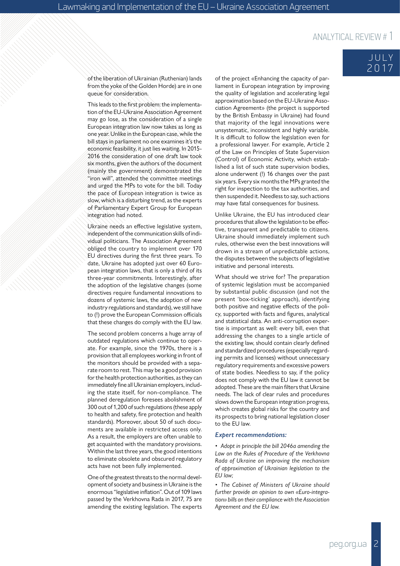#### of the liberation of Ukrainian (Ruthenian) lands from the yoke of the Golden Horde) are in one queue for consideration.

This leads to the first problem: the implementa tion of the EU-Ukraine Association Agreement may go lose, as the consideration of a single European integration law now takes as long as one year. Unlike in the European case, while the bill stays in parliament no one examines it's the economic feasibility, it just lies waiting. In 2015- 2016 the consideration of one draft law took six months, given the authors of the document (mainly the government) demonstrated the "iron will", attended the committee meetings and urged the MPs to vote for the bill. Today the pace of European integration is twice as slow, which is a disturbing trend, as the experts of Parliamentary Expert Group for European integration had noted.

Ukraine needs an effective legislative system, independent of the communication skills of indi vidual politicians. The Association Agreement obliged the country to implement over 170 EU directives during the first three years. To date, Ukraine has adopted just over 60 Euro pean integration laws, that is only a third of its three-year commitments. Interestingly, after the adoption of the legislative changes (some directives require fundamental innovations to dozens of systemic laws, the adoption of new industry regulations and standards), we still have to (!) prove the European Commission officials that these changes do comply with the EU law.

The second problem concerns a huge array of outdated regulations which continue to oper ate. For example, since the 1970s, there is a provision that all employees working in front of the monitors should be provided with a sepa rate room to rest. This may be a good provision for the health protection authorities, as they can immediately fine all Ukrainian employers, includ ing the state itself, for non-compliance. The planned deregulation foresees abolishment of 300 out of 1,200 of such regulations (these apply to health and safety, fire protection and health standards). Moreover, about 50 of such docu ments are available in restricted access only. As a result, the employers are often unable to get acquainted with the mandatory provisions. Within the last three years, the good intentions to eliminate obsolete and obscured regulatory acts have not been fully implemented.

One of the greatest threats to the normal devel opment of society and business in Ukraine is the enormous "legislative inflation". Out of 109 laws passed by the Verkhovna Rada in 2017, 75 are amending the existing legislation. The experts

of the project «Enhancing the capacity of par liament in European integration by improving the quality of legislation and accelerating legal approximation based on the EU-Ukraine Asso ciation Agreement» (the project is supported by the British Embassy in Ukraine) had found that majority of the legal innovations were unsystematic, inconsistent and highly variable. It is difficult to follow the legislation even for a professional lawyer. For example, Article 2 of the Law on Principles of State Supervision (Control) of Economic Activity, which estab lished a list of such state supervision bodies, alone underwent (!) 16 changes over the past six years. Every six months the MPs granted the right for inspection to the tax authorities, and then suspended it. Needless to say, such actions may have fatal consequences for business.

Unlike Ukraine, the EU has introduced clear procedures that allow the legislation to be effec tive, transparent and predictable to citizens. Ukraine should immediately implement such rules, otherwise even the best innovations will drown in a stream of unpredictable actions, the disputes between the subjects of legislative initiative and personal interests.

What should we strive for? The preparation of systemic legislation must be accompanied by substantial public discussion (and not the present 'box-ticking' approach), identifying both positive and negative effects of the poli cy, supported with facts and figures, analytical and statistical data. An anti-corruption exper tise is important as well: every bill, even that addressing the changes to a single article of the existing law, should contain clearly defined and standardized procedures (especially regard ing permits and licenses) without unnecessary regulatory requirements and excessive powers of state bodies. Needless to say, if the policy does not comply with the EU law it cannot be adopted. These are the main filters that Ukraine needs. The lack of clear rules and procedures slows down the European integration progress, which creates global risks for the country and its prospects to bring national legislation closer to the EU law.

#### *Expert recommendations:*

*• Adopt in principle the bill 2046a amending the Law on the Rules of Procedure of the Verkhovna Rada of Ukraine on improving the mechanism of approximation of Ukrainian legislation to the EU law;*

*• The Cabinet of Ministers of Ukraine should further provide an opinion to own «Euro-integra tion» bills on their compliance with the Association Agreement and the EU law.*

JULY 2017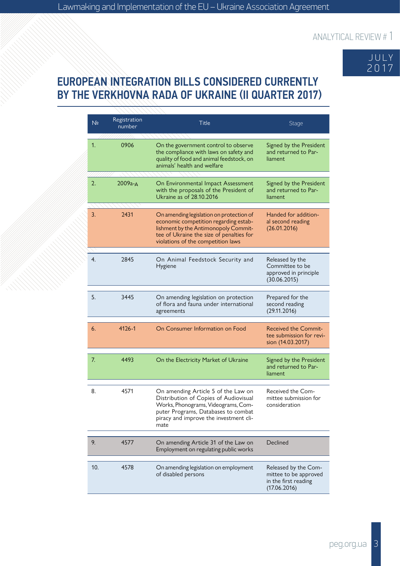

## EUROPEAN INTEGRATION BILLS CONSIDERED CURRENTLY BY THE VERKHOVNA RADA OF UKRAINE (II QUARTER 2017)

| N <sub>2</sub> | Registration<br>number | Title                                                                                                                                                                                                        | <b>Stage</b>                                                                          |
|----------------|------------------------|--------------------------------------------------------------------------------------------------------------------------------------------------------------------------------------------------------------|---------------------------------------------------------------------------------------|
| 1.             | 0906                   | On the government control to observe<br>the compliance with laws on safety and<br>quality of food and animal feedstock, on<br>animals' health and welfare                                                    | Signed by the President<br>and returned to Par-<br>liament                            |
| 2.             | 2009а-д                | On Environmental Impact Assessment<br>with the proposals of the President of<br>Ukraine as of 28.10.2016                                                                                                     | Signed by the President<br>and returned to Par-<br>liament                            |
| 3.             | 2431                   | On amending legislation on protection of<br>economic competition regarding estab-<br>lishment by the Antimonopoly Commit-<br>tee of Ukraine the size of penalties for<br>violations of the competition laws  | Handed for addition-<br>al second reading<br>(26.01.2016)                             |
| 4.             | 2845                   | On Animal Feedstock Security and<br>Hygiene                                                                                                                                                                  | Released by the<br>Committee to be<br>approved in principle<br>(30.06.2015)           |
| 5.             | 3445                   | On amending legislation on protection<br>of flora and fauna under international<br>agreements                                                                                                                | Prepared for the<br>second reading<br>(29.11.2016)                                    |
| 6.             | 4126-1                 | On Consumer Information on Food                                                                                                                                                                              | <b>Received the Commit-</b><br>tee submission for revi-<br>sion (14.03.2017)          |
| 7.             | 4493                   | On the Electricity Market of Ukraine                                                                                                                                                                         | Signed by the President<br>and returned to Par-<br>liament                            |
| 8.             | 4571                   | On amending Article 5 of the Law on<br>Distribution of Copies of Audiovisual<br>Works, Phonograms, Videograms, Com-<br>puter Programs, Databases to combat<br>piracy and improve the investment cli-<br>mate | Received the Com-<br>mittee submission for<br>consideration                           |
| 9.             | 4577                   | On amending Article 31 of the Law on                                                                                                                                                                         | Declined                                                                              |
|                |                        | Employment on regulating public works                                                                                                                                                                        |                                                                                       |
| 10.            | 4578                   | On amending legislation on employment<br>of disabled persons                                                                                                                                                 | Released by the Com-<br>mittee to be approved<br>in the first reading<br>(17.06.2016) |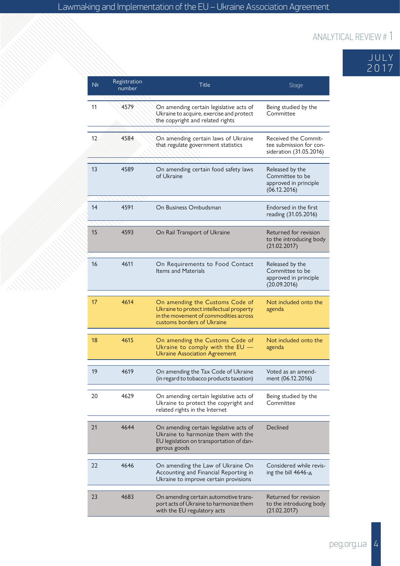

| N <sub>2</sub> | Registration<br>number | Title                                                                                                                                              | Stage                                                                       |
|----------------|------------------------|----------------------------------------------------------------------------------------------------------------------------------------------------|-----------------------------------------------------------------------------|
| 11             | 4579                   | On amending certain legislative acts of<br>Ukraine to acquire, exercise and protect<br>the copyright and related rights                            | Being studied by the<br>Committee                                           |
| 12             | 4584                   | On amending certain laws of Ukraine<br>that regulate government statistics                                                                         | Received the Commit-<br>tee submission for con-<br>sideration (31.05.2016)  |
| 13             | 4589                   | On amending certain food safety laws<br>of Ukraine                                                                                                 | Released by the<br>Committee to be<br>approved in principle<br>(06.12.2016) |
| 14             | 4591                   | On Business Ombudsman                                                                                                                              | Endorsed in the first<br>reading (31.05.2016)                               |
| 15             | 4593                   | On Rail Transport of Ukraine                                                                                                                       | Returned for revision<br>to the introducing body<br>(21.02.2017)            |
| 16             | 4611                   | On Requirements to Food Contact<br>Items and Materials                                                                                             | Released by the<br>Committee to be<br>approved in principle<br>(20.09.2016) |
| 17             | 4614                   | On amending the Customs Code of<br>Ukraine to protect intellectual property<br>in the movement of commodities across<br>customs borders of Ukraine | Not included onto the<br>agenda                                             |
| 18             | 4615                   | On amending the Customs Code of<br>Ukraine to comply with the EU -<br><b>Ukraine Association Agreement</b>                                         | Not included onto the<br>agenda                                             |
| 19             | 4619                   | On amending the Tax Code of Ukraine<br>(in regard to tobacco products taxation)                                                                    | Voted as an amend-<br>ment (06.12.2016)                                     |
| 20             | 4629                   | On amending certain legislative acts of<br>Ukraine to protect the copyright and<br>related rights in the Internet                                  | Being studied by the<br>Committee                                           |
| 21             | 4644                   | On amending certain legislative acts of<br>Ukraine to harmonize them with the<br>EU legislation on transportation of dan-<br>gerous goods          | Declined                                                                    |
| 22             | 4646                   | On amending the Law of Ukraine On<br>Accounting and Financial Reporting in<br>Ukraine to improve certain provisions                                | Considered while revis-<br>ing the bill 4646-A                              |
| 23             | 4683                   | On amending certain automotive trans-<br>port acts of Ukraine to harmonize them<br>with the EU regulatory acts                                     | Returned for revision<br>to the introducing body<br>(21.02.2017)            |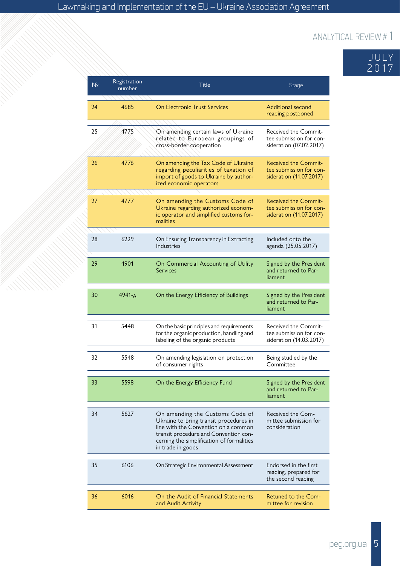|      |  | JULY |
|------|--|------|
| 2017 |  |      |

| N <sub>2</sub> | Registration<br>number | Title                                                                                                                                                                                                                        | <b>Stage</b>                                                                      |
|----------------|------------------------|------------------------------------------------------------------------------------------------------------------------------------------------------------------------------------------------------------------------------|-----------------------------------------------------------------------------------|
| 24             | 4685                   | <b>On Electronic Trust Services</b>                                                                                                                                                                                          | Additional second<br>reading postponed                                            |
| 25             | 4775                   | On amending certain laws of Ukraine<br>related to European groupings of<br>cross-border cooperation                                                                                                                          | Received the Commit-<br>tee submission for con-<br>sideration (07.02.2017)        |
| 26             | 4776                   | On amending the Tax Code of Ukraine<br>regarding peculiarities of taxation of<br>import of goods to Ukraine by author-<br>ized economic operators                                                                            | <b>Received the Commit-</b><br>tee submission for con-<br>sideration (11.07.2017) |
| 27             | 4777                   | On amending the Customs Code of<br>Ukraine regarding authorized econom-<br>ic operator and simplified customs for-<br>malities                                                                                               | <b>Received the Commit-</b><br>tee submission for con-<br>sideration (11.07.2017) |
| 28             | 6229                   | On Ensuring Transparency in Extracting<br>Industries                                                                                                                                                                         | Included onto the<br>agenda (25.05.2017)                                          |
| 29             | 4901                   | On Commercial Accounting of Utility<br><b>Services</b>                                                                                                                                                                       | Signed by the President<br>and returned to Par-<br>liament                        |
| 30             | 4941-A                 | On the Energy Efficiency of Buildings                                                                                                                                                                                        | Signed by the President<br>and returned to Par-<br>liament                        |
| 31             | 5448                   | On the basic principles and requirements<br>for the organic production, handling and<br>labeling of the organic products                                                                                                     | <b>Received the Commit-</b><br>tee submission for con-<br>sideration (14.03.2017) |
| 32             | 5548                   | On amending legislation on protection<br>of consumer rights                                                                                                                                                                  | Being studied by the<br>Committee                                                 |
| 33             | 5598                   | On the Energy Efficiency Fund                                                                                                                                                                                                | Signed by the President<br>and returned to Par-<br>liament                        |
| 34             | 5627                   | On amending the Customs Code of<br>Ukraine to bring transit procedures in<br>line with the Convention on a common<br>transit procedure and Convention con-<br>cerning the simplification of formalities<br>in trade in goods | Received the Com-<br>mittee submission for<br>consideration                       |
| 35             | 6106                   | On Strategic Environmental Assessment                                                                                                                                                                                        | Endorsed in the first<br>reading, prepared for<br>the second reading              |
|                |                        |                                                                                                                                                                                                                              |                                                                                   |
| 36             | 6016                   | On the Audit of Financial Statements<br>and Audit Activity                                                                                                                                                                   | <b>Retuned to the Com-</b><br>mittee for revision                                 |